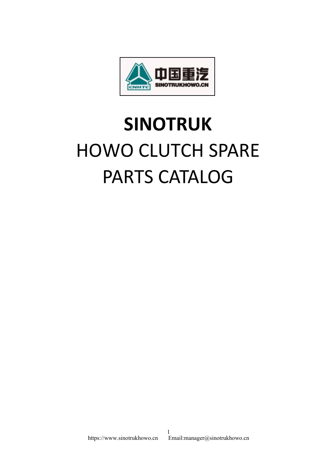

## **SINOTRUK** HOWO CLUTCH SPARE PARTS CATALOG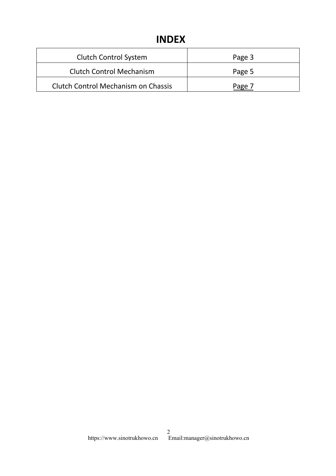## **INDEX**

| <b>INDEX</b>                    |        |
|---------------------------------|--------|
|                                 |        |
| <b>Clutch Control System</b>    | Page 3 |
| <b>Clutch Control Mechanism</b> | Page 5 |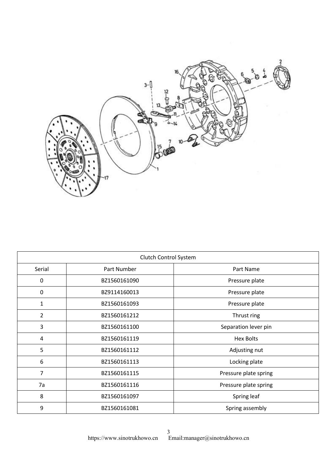

| Clutch Control System |              |                       |
|-----------------------|--------------|-----------------------|
| Serial                | Part Number  | Part Name             |
| 0                     | BZ1560161090 | Pressure plate        |
| $\mathbf 0$           | BZ9114160013 | Pressure plate        |
| $\mathbf{1}$          | BZ1560161093 | Pressure plate        |
| $\overline{2}$        | BZ1560161212 | Thrust ring           |
| 3                     | BZ1560161100 | Separation lever pin  |
| 4                     | BZ1560161119 | <b>Hex Bolts</b>      |
| 5                     | BZ1560161112 | Adjusting nut         |
| 6                     | BZ1560161113 | Locking plate         |
| $\overline{7}$        | BZ1560161115 | Pressure plate spring |
| 7a                    | BZ1560161116 | Pressure plate spring |
| 8                     | BZ1560161097 | Spring leaf           |
| 9                     | BZ1560161081 | Spring assembly       |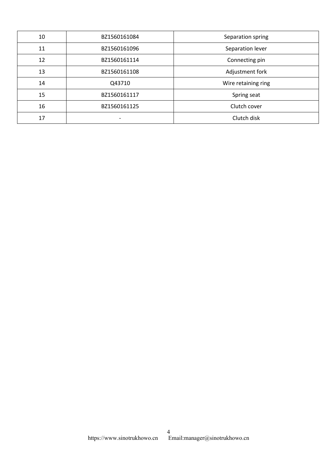| 10 | BZ1560161084 | Separation spring   |
|----|--------------|---------------------|
| 11 | BZ1560161096 | Separation lever    |
| 12 | BZ1560161114 | Connecting pin      |
| 13 | BZ1560161108 | Adjustment fork     |
| 14 | Q43710       | Wire retaining ring |
| 15 | BZ1560161117 | Spring seat         |
| 16 | BZ1560161125 | Clutch cover        |
| 17 |              | Clutch disk         |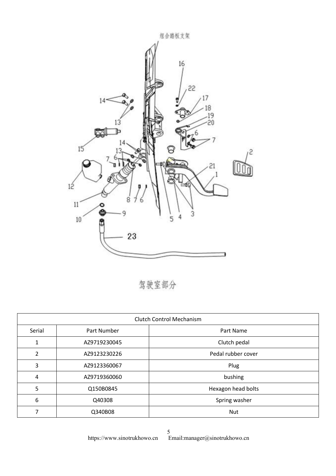

驾驶室部分

| <b>Clutch Control Mechanism</b> |              |                    |
|---------------------------------|--------------|--------------------|
| Serial                          | Part Number  | Part Name          |
| 1                               | AZ9719230045 | Clutch pedal       |
| $\overline{2}$                  | AZ9123230226 | Pedal rubber cover |
| 3                               | AZ9123360067 | Plug               |
| 4                               | AZ9719360060 | bushing            |
| 5                               | Q150B0845    | Hexagon head bolts |
| 6                               | Q40308       | Spring washer      |
| 7                               | Q340B08      | <b>Nut</b>         |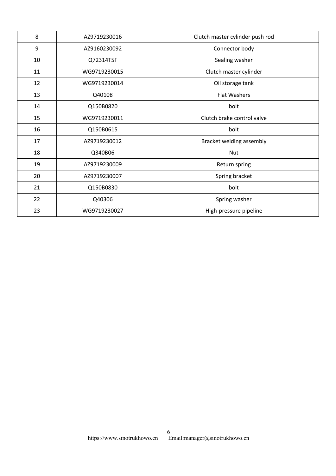| 8  | AZ9719230016 | Clutch master cylinder push rod |
|----|--------------|---------------------------------|
| 9  | AZ9160230092 | Connector body                  |
| 10 | Q72314T5F    | Sealing washer                  |
| 11 | WG9719230015 | Clutch master cylinder          |
| 12 | WG9719230014 | Oil storage tank                |
| 13 | Q40108       | <b>Flat Washers</b>             |
| 14 | Q150B0820    | bolt                            |
| 15 | WG9719230011 | Clutch brake control valve      |
| 16 | Q150B0615    | bolt                            |
| 17 | AZ9719230012 | Bracket welding assembly        |
| 18 | Q340B06      | <b>Nut</b>                      |
| 19 | AZ9719230009 | Return spring                   |
| 20 | AZ9719230007 | Spring bracket                  |
| 21 | Q150B0830    | bolt                            |
| 22 | Q40306       | Spring washer                   |
| 23 | WG9719230027 | High-pressure pipeline          |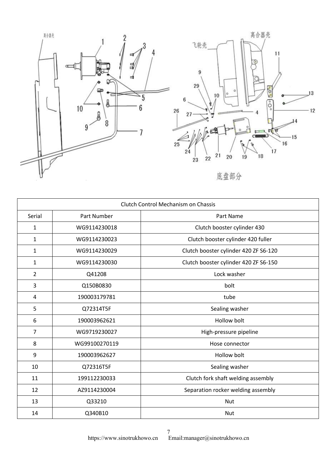<span id="page-6-0"></span>



底盘部分

| Clutch Control Mechanism on Chassis |               |                                       |
|-------------------------------------|---------------|---------------------------------------|
| Serial                              | Part Number   | Part Name                             |
| $\mathbf{1}$                        | WG9114230018  | Clutch booster cylinder 430           |
| $\mathbf{1}$                        | WG9114230023  | Clutch booster cylinder 420 fuller    |
| $\mathbf{1}$                        | WG9114230029  | Clutch booster cylinder 420 ZF S6-120 |
| 1                                   | WG9114230030  | Clutch booster cylinder 420 ZF S6-150 |
| $\overline{2}$                      | Q41208        | Lock washer                           |
| 3                                   | Q150B0830     | bolt                                  |
| 4                                   | 190003179781  | tube                                  |
| 5                                   | Q72314T5F     | Sealing washer                        |
| 6                                   | 190003962621  | <b>Hollow bolt</b>                    |
| 7                                   | WG9719230027  | High-pressure pipeline                |
| 8                                   | WG99100270119 | Hose connector                        |
| 9                                   | 190003962627  | Hollow bolt                           |
| 10                                  | Q72316T5F     | Sealing washer                        |
| 11                                  | 199112230033  | Clutch fork shaft welding assembly    |
| 12                                  | AZ9114230004  | Separation rocker welding assembly    |
| 13                                  | Q33210        | <b>Nut</b>                            |
| 14                                  | Q340B10       | <b>Nut</b>                            |

 https://www.sinotrukhowo.cn Email:manager@sinotrukhowo.cn